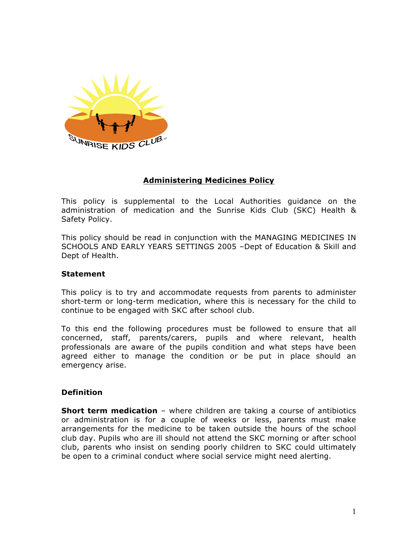

# **Administering Medicines Policy**

This policy is supplemental to the Local Authorities guidance on the administration of medication and the Sunrise Kids Club (SKC) Health & Safety Policy.

This policy should be read in conjunction with the MANAGING MEDICINES IN SCHOOLS AND EARLY YEARS SETTINGS 2005 –Dept of Education & Skill and Dept of Health.

### **Statement**

This policy is to try and accommodate requests from parents to administer short-term or long-term medication, where this is necessary for the child to continue to be engaged with SKC after school club.

To this end the following procedures must be followed to ensure that all concerned, staff, parents/carers, pupils and where relevant, health professionals are aware of the pupils condition and what steps have been agreed either to manage the condition or be put in place should an emergency arise.

### **Definition**

**Short term medication** – where children are taking a course of antibiotics or administration is for a couple of weeks or less, parents must make arrangements for the medicine to be taken outside the hours of the school club day. Pupils who are ill should not attend the SKC morning or after school club, parents who insist on sending poorly children to SKC could ultimately be open to a criminal conduct where social service might need alerting.